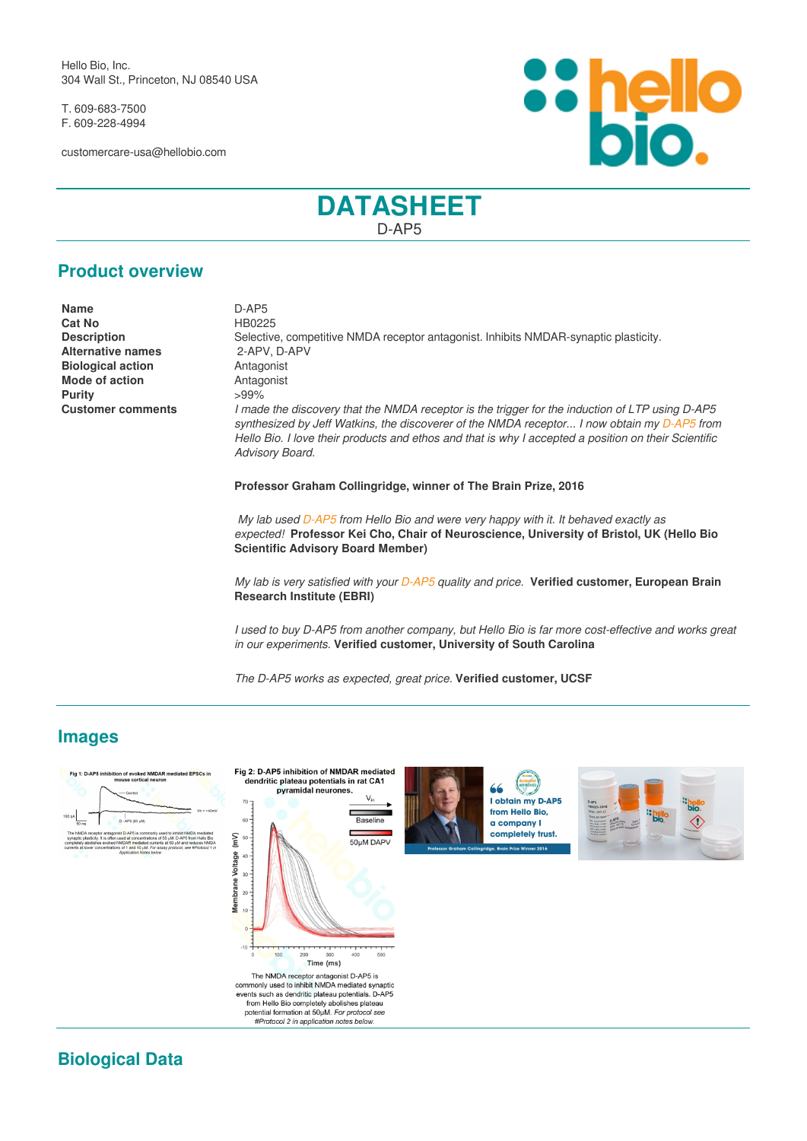Hello Bio, Inc. 304 Wall St., Princeton, NJ 08540 USA

T. 609-683-7500 F. 609-228-4994

customercare-usa@hellobio.com



# **DATASHEET** D-AP5

### **Product overview**

**Name** D-AP5 **Cat No** HB0225 **Alternative names Biological action Antagonist Mode of action Antagonist Purity** >99%

**Description** Selective, competitive NMDA receptor antagonist. Inhibits NMDAR-synaptic plasticity.<br> **Alternative names** 2-APV. D-APV **Customer comments** *I made the discovery that the NMDA receptor is the trigger for the induction of LTP using D-AP5 synthesized by Jeff Watkins, the discoverer of the NMDA receptor... I now obtain my [D-AP5](https://hellobio.com/dap5.html) from Hello Bio. I love their products and ethos and that is why I accepted a position on their Scientific Advisory Board.*

**Professor Graham Collingridge, winner of The Brain Prize, 2016**

 *My lab used [D-AP5](https://hellobio.com/dap5.html) from Hello Bio and were very happy with it. It behaved exactly as expected!* **Professor Kei Cho, Chair of Neuroscience, University of Bristol, UK (Hello Bio Scientific Advisory Board Member)**

*My lab is very satisfied with your [D-AP5](https://hellobio.com/dap5.html) quality and price.* **Verified customer, European Brain Research Institute (EBRI)**

*I used to buy D-AP5 from another company, but Hello Bio is far more cost-effective and works great in our experiments.* **Verified customer, University of South Carolina**

*The D-AP5 works as expected, great price.* **Verified customer, UCSF**

# **Images**



**Biological Data**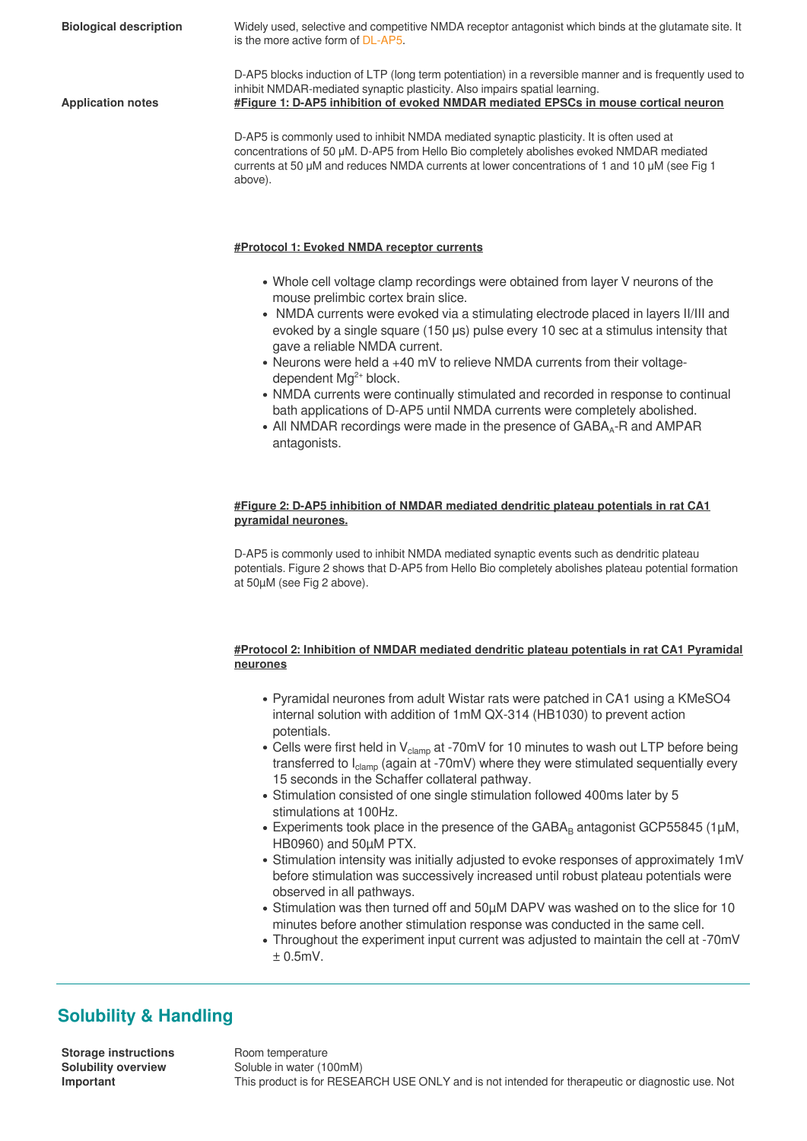**Biological description** Widely used, selective and competitive NMDA receptor antagonist which binds at the glutamate site. It is the more active form of [DL-AP5](https://hellobio.com/dlap5.html). D-AP5 blocks induction of LTP (long term potentiation) in a reversible manner and is frequently used to inhibit NMDAR-mediated synaptic plasticity. Also impairs spatial learning. **Application notes #Figure 1: D-AP5 inhibition of evoked NMDAR mediated EPSCs in mouse cortical neuron** D-AP5 is commonly used to inhibit NMDA mediated synaptic plasticity. It is often used at concentrations of 50 μM. D-AP5 from Hello Bio completely abolishes evoked NMDAR mediated

currents at 50 μM and reduces NMDA currents at lower concentrations of 1 and 10 μM (see Fig 1 above).

#### **#Protocol 1: Evoked NMDA receptor currents**

- Whole cell voltage clamp recordings were obtained from layer V neurons of the mouse prelimbic cortex brain slice.
- NMDA currents were evoked via a stimulating electrode placed in layers II/III and evoked by a single square (150 μs) pulse every 10 sec at a stimulus intensity that gave a reliable NMDA current.
- Neurons were held a +40 mV to relieve NMDA currents from their voltagedependent Mg<sup>2+</sup> block.
- NMDA currents were continually stimulated and recorded in response to continual bath applications of D-AP5 until NMDA currents were completely abolished.
- All NMDAR recordings were made in the presence of GABA<sub>4</sub>-R and AMPAR antagonists.

#### **#Figure 2: D-AP5 inhibition of NMDAR mediated dendritic plateau potentials in rat CA1 pyramidal neurones.**

D-AP5 is commonly used to inhibit NMDA mediated synaptic events such as dendritic plateau potentials. Figure 2 shows that D-AP5 from Hello Bio completely abolishes plateau potential formation at 50µM (see Fig 2 above).

#### **#Protocol 2: Inhibition of NMDAR mediated dendritic plateau potentials in rat CA1 Pyramidal neurones**

- Pyramidal neurones from adult Wistar rats were patched in CA1 using a KMeSO4 internal solution with addition of 1mM QX-314 (HB1030) to prevent action potentials.
- Cells were first held in V<sub>clamp</sub> at -70mV for 10 minutes to wash out LTP before being transferred to  $I_{clam}$  (again at -70mV) where they were stimulated sequentially every 15 seconds in the Schaffer collateral pathway.
- Stimulation consisted of one single stimulation followed 400ms later by 5 stimulations at 100Hz.
- Experiments took place in the presence of the GABA<sub>B</sub> antagonist GCP55845 (1 $\mu$ M, HB0960) and 50µM PTX.
- Stimulation intensity was initially adjusted to evoke responses of approximately 1mV before stimulation was successively increased until robust plateau potentials were observed in all pathways.
- Stimulation was then turned off and 50µM DAPV was washed on to the slice for 10 minutes before another stimulation response was conducted in the same cell.
- Throughout the experiment input current was adjusted to maintain the cell at -70mV ± 0.5mV.

# **Solubility & Handling**

**Storage instructions** Room temperature<br> **Solubility overview** Soluble in water (1)